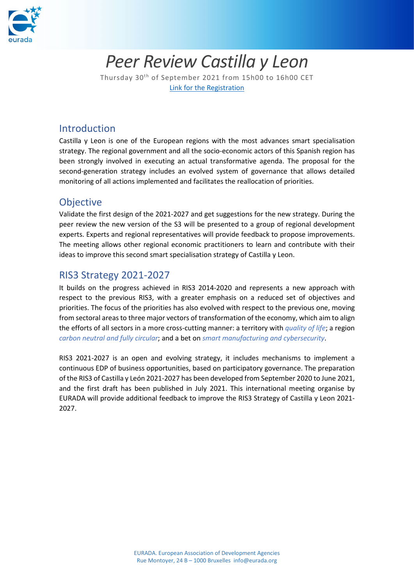

# *Peer Review Castilla y Leon*

Thursday 30th of September 2021 from 15h00 to 16h00 CET [Link for the Registration](https://site.evenium.net/peer-review-cyl/registration)

#### Introduction

Castilla y Leon is one of the European regions with the most advances smart specialisation strategy. The regional government and all the socio-economic actors of this Spanish region has been strongly involved in executing an actual transformative agenda. The proposal for the second-generation strategy includes an evolved system of governance that allows detailed monitoring of all actions implemented and facilitates the reallocation of priorities.

#### **Objective**

Validate the first design of the 2021-2027 and get suggestions for the new strategy. During the peer review the new version of the S3 will be presented to a group of regional development experts. Experts and regional representatives will provide feedback to propose improvements. The meeting allows other regional economic practitioners to learn and contribute with their ideas to improve this second smart specialisation strategy of Castilla y Leon.

### RIS3 Strategy 2021-2027

It builds on the progress achieved in RIS3 2014-2020 and represents a new approach with respect to the previous RIS3, with a greater emphasis on a reduced set of objectives and priorities. The focus of the priorities has also evolved with respect to the previous one, moving from sectoral areas to three major vectors of transformation of the economy, which aim to align the efforts of all sectors in a more cross-cutting manner: a territory with *quality of life*; a region *carbon neutral and fully circular*; and a bet on *smart manufacturing and cybersecurity*.

RIS3 2021-2027 is an open and evolving strategy, it includes mechanisms to implement a continuous EDP of business opportunities, based on participatory governance. The preparation of the RIS3 of Castilla y León 2021-2027 has been developed from September 2020 to June 2021, and the first draft has been published in July 2021. This international meeting organise by EURADA will provide additional feedback to improve the RIS3 Strategy of Castilla y Leon 2021- 2027.